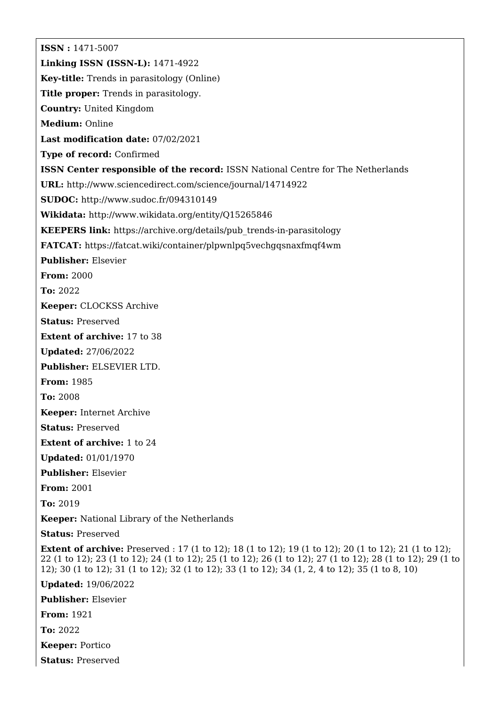**ISSN :** 1471-5007 **Linking ISSN (ISSN-L):** 1471-4922 **Key-title:** Trends in parasitology (Online) **Title proper:** Trends in parasitology. **Country:** United Kingdom **Medium:** Online **Last modification date:** 07/02/2021 **Type of record:** Confirmed **ISSN Center responsible of the record:** ISSN National Centre for The Netherlands **URL:** <http://www.sciencedirect.com/science/journal/14714922> **SUDOC:** <http://www.sudoc.fr/094310149> **Wikidata:** <http://www.wikidata.org/entity/Q15265846> **KEEPERS link:** [https://archive.org/details/pub\\_trends-in-parasitology](https://archive.org/details/pub_trends-in-parasitology) **FATCAT:** <https://fatcat.wiki/container/plpwnlpq5vechgqsnaxfmqf4wm> **Publisher:** Elsevier **From:** 2000 **To:** 2022 **Keeper:** CLOCKSS Archive **Status:** Preserved **Extent of archive:** 17 to 38 **Updated:** 27/06/2022 **Publisher:** ELSEVIER LTD. **From:** 1985 **To:** 2008 **Keeper:** Internet Archive **Status:** Preserved **Extent of archive:** 1 to 24 **Updated:** 01/01/1970 **Publisher:** Elsevier **From:** 2001 **To:** 2019 **Keeper:** National Library of the Netherlands **Status:** Preserved **Extent of archive:** Preserved : 17 (1 to 12); 18 (1 to 12); 19 (1 to 12); 20 (1 to 12); 21 (1 to 12); 22 (1 to 12); 23 (1 to 12); 24 (1 to 12); 25 (1 to 12); 26 (1 to 12); 27 (1 to 12); 28 (1 to 12); 29 (1 to 12); 30 (1 to 12); 31 (1 to 12); 32 (1 to 12); 33 (1 to 12); 34 (1, 2, 4 to 12); 35 (1 to 8, 10) **Updated:** 19/06/2022 **Publisher:** Elsevier

**From:** 1921

**To:** 2022

**Keeper:** Portico

**Status:** Preserved